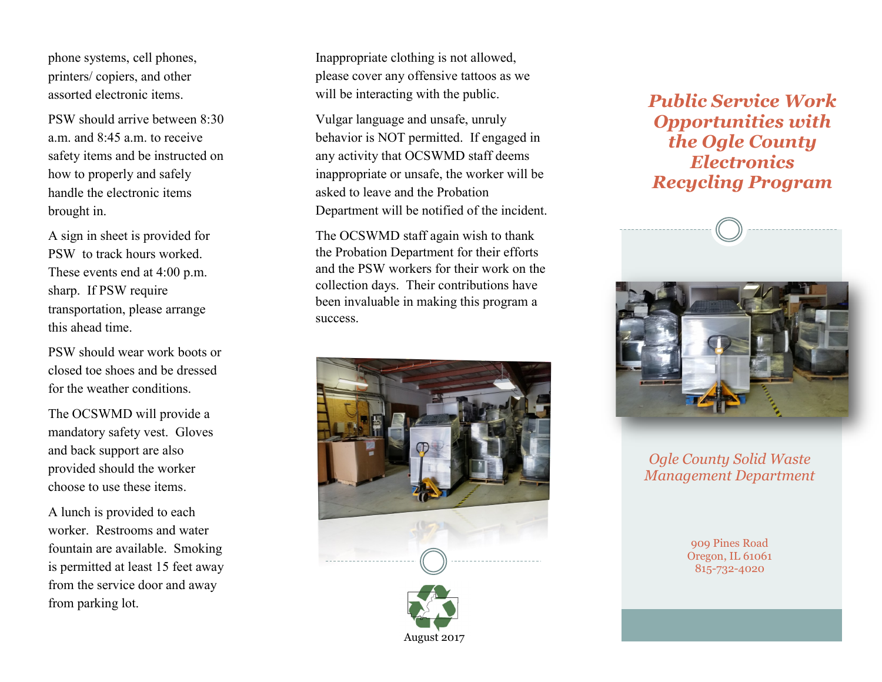phone systems, cell phones, printers/ copiers, and other assorted electronic items.

PSW should arrive between 8:30 a.m. and  $8:45$  a.m. to receive safety items and be instructed on how to properly and safely handle the electronic items brought in.

A sign in sheet is provided for PSW to track hours worked. These events end at 4:00 p.m. sharp. If PSW require transportation, please arrange this ahead time.

PSW should wear work boots or closed toe shoes and be dressed for the weather conditions.

The OCSWMD will provide a mandatory safety vest. Gloves and back support are also provided should the worker choose to use these items.

A lunch is provided to each worker. Restrooms and water fountain are available. Smoking is permitted at least 15 feet away from the service door and away from parking lot.

Inappropriate clothing is not allowed, please cover any offensive tattoos as we will be interacting with the public.

Vulgar language and unsafe, unruly behavior is NOT permitted. If engaged in any activity that OCSWMD staff deems inappropriate or unsafe, the worker will be asked to leave and the Probation Department will be notified of the incident.

The OCSWMD staff again wish to thank the Probation Department for their efforts and the PSW workers for their work on the collection days. Their contributions have been invaluable in making this program a success.





## *Public Service Work Opportunities with the Ogle County Electronics Recycling Program*



## *Ogle County Solid Waste Management Department*

909 Pines Road Oregon, IL 61061 815-732-4020